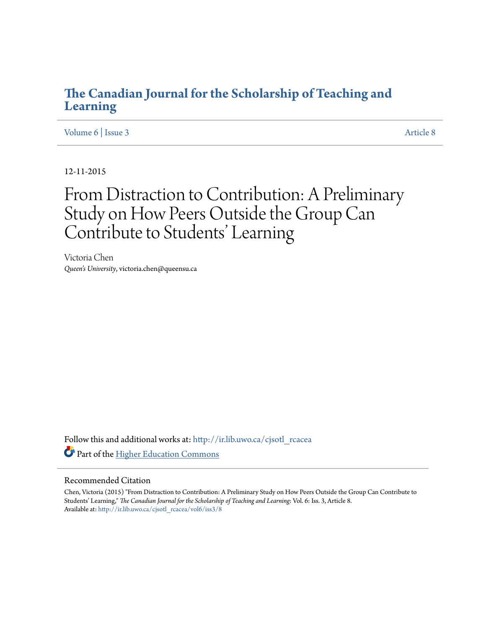## **[The Canadian Journal for the Scholarship of Teaching and](http://ir.lib.uwo.ca/cjsotl_rcacea?utm_source=ir.lib.uwo.ca%2Fcjsotl_rcacea%2Fvol6%2Fiss3%2F8&utm_medium=PDF&utm_campaign=PDFCoverPages) [Learning](http://ir.lib.uwo.ca/cjsotl_rcacea?utm_source=ir.lib.uwo.ca%2Fcjsotl_rcacea%2Fvol6%2Fiss3%2F8&utm_medium=PDF&utm_campaign=PDFCoverPages)**

[Volume 6](http://ir.lib.uwo.ca/cjsotl_rcacea/vol6?utm_source=ir.lib.uwo.ca%2Fcjsotl_rcacea%2Fvol6%2Fiss3%2F8&utm_medium=PDF&utm_campaign=PDFCoverPages) | [Issue 3](http://ir.lib.uwo.ca/cjsotl_rcacea/vol6/iss3?utm_source=ir.lib.uwo.ca%2Fcjsotl_rcacea%2Fvol6%2Fiss3%2F8&utm_medium=PDF&utm_campaign=PDFCoverPages) [Article 8](http://ir.lib.uwo.ca/cjsotl_rcacea/vol6/iss3/8?utm_source=ir.lib.uwo.ca%2Fcjsotl_rcacea%2Fvol6%2Fiss3%2F8&utm_medium=PDF&utm_campaign=PDFCoverPages)

12-11-2015

# From Distraction to Contribution: A Preliminary Study on How Peers Outside the Group Can Contribute to Students' Learning

Victoria Chen *Queen's University*, victoria.chen@queensu.ca

Follow this and additional works at: [http://ir.lib.uwo.ca/cjsotl\\_rcacea](http://ir.lib.uwo.ca/cjsotl_rcacea?utm_source=ir.lib.uwo.ca%2Fcjsotl_rcacea%2Fvol6%2Fiss3%2F8&utm_medium=PDF&utm_campaign=PDFCoverPages) Part of the [Higher Education Commons](http://network.bepress.com/hgg/discipline/1245?utm_source=ir.lib.uwo.ca%2Fcjsotl_rcacea%2Fvol6%2Fiss3%2F8&utm_medium=PDF&utm_campaign=PDFCoverPages)

## Recommended Citation

Chen, Victoria (2015) "From Distraction to Contribution: A Preliminary Study on How Peers Outside the Group Can Contribute to Students' Learning," *The Canadian Journal for the Scholarship of Teaching and Learning*: Vol. 6: Iss. 3, Article 8. Available at: [http://ir.lib.uwo.ca/cjsotl\\_rcacea/vol6/iss3/8](http://ir.lib.uwo.ca/cjsotl_rcacea/vol6/iss3/8?utm_source=ir.lib.uwo.ca%2Fcjsotl_rcacea%2Fvol6%2Fiss3%2F8&utm_medium=PDF&utm_campaign=PDFCoverPages)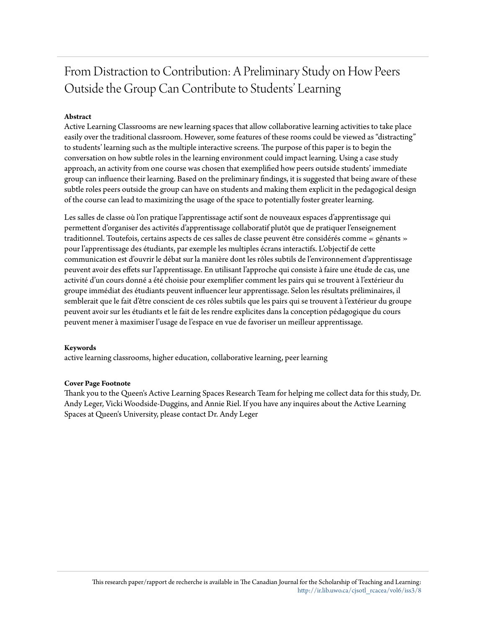## From Distraction to Contribution: A Preliminary Study on How Peers Outside the Group Can Contribute to Students' Learning

## **Abstract**

Active Learning Classrooms are new learning spaces that allow collaborative learning activities to take place easily over the traditional classroom. However, some features of these rooms could be viewed as "distracting" to students' learning such as the multiple interactive screens. The purpose of this paper is to begin the conversation on how subtle roles in the learning environment could impact learning. Using a case study approach, an activity from one course was chosen that exemplified how peers outside students' immediate group can influence their learning. Based on the preliminary findings, it is suggested that being aware of these subtle roles peers outside the group can have on students and making them explicit in the pedagogical design of the course can lead to maximizing the usage of the space to potentially foster greater learning.

Les salles de classe où l'on pratique l'apprentissage actif sont de nouveaux espaces d'apprentissage qui permettent d'organiser des activités d'apprentissage collaboratif plutôt que de pratiquer l'enseignement traditionnel. Toutefois, certains aspects de ces salles de classe peuvent être considérés comme « gênants » pour l'apprentissage des étudiants, par exemple les multiples écrans interactifs. L'objectif de cette communication est d'ouvrir le débat sur la manière dont les rôles subtils de l'environnement d'apprentissage peuvent avoir des effets sur l'apprentissage. En utilisant l'approche qui consiste à faire une étude de cas, une activité d'un cours donné a été choisie pour exemplifier comment les pairs qui se trouvent à l'extérieur du groupe immédiat des étudiants peuvent influencer leur apprentissage. Selon les résultats préliminaires, il semblerait que le fait d'être conscient de ces rôles subtils que les pairs qui se trouvent à l'extérieur du groupe peuvent avoir sur les étudiants et le fait de les rendre explicites dans la conception pédagogique du cours peuvent mener à maximiser l'usage de l'espace en vue de favoriser un meilleur apprentissage.

## **Keywords**

active learning classrooms, higher education, collaborative learning, peer learning

## **Cover Page Footnote**

Thank you to the Queen's Active Learning Spaces Research Team for helping me collect data for this study, Dr. Andy Leger, Vicki Woodside-Duggins, and Annie Riel. If you have any inquires about the Active Learning Spaces at Queen's University, please contact Dr. Andy Leger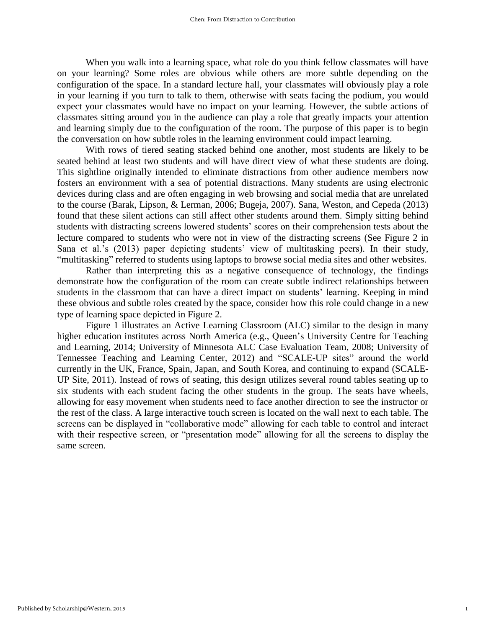When you walk into a learning space, what role do you think fellow classmates will have on your learning? Some roles are obvious while others are more subtle depending on the configuration of the space. In a standard lecture hall, your classmates will obviously play a role in your learning if you turn to talk to them, otherwise with seats facing the podium, you would expect your classmates would have no impact on your learning. However, the subtle actions of classmates sitting around you in the audience can play a role that greatly impacts your attention and learning simply due to the configuration of the room. The purpose of this paper is to begin the conversation on how subtle roles in the learning environment could impact learning.

With rows of tiered seating stacked behind one another, most students are likely to be seated behind at least two students and will have direct view of what these students are doing. This sightline originally intended to eliminate distractions from other audience members now fosters an environment with a sea of potential distractions. Many students are using electronic devices during class and are often engaging in web browsing and social media that are unrelated to the course (Barak, Lipson, & Lerman, 2006; Bugeja, 2007). Sana, Weston, and Cepeda (2013) found that these silent actions can still affect other students around them. Simply sitting behind students with distracting screens lowered students' scores on their comprehension tests about the lecture compared to students who were not in view of the distracting screens (See Figure 2 in Sana et al.'s (2013) paper depicting students' view of multitasking peers). In their study, "multitasking" referred to students using laptops to browse social media sites and other websites.

Rather than interpreting this as a negative consequence of technology, the findings demonstrate how the configuration of the room can create subtle indirect relationships between students in the classroom that can have a direct impact on students' learning. Keeping in mind these obvious and subtle roles created by the space, consider how this role could change in a new type of learning space depicted in Figure 2.

Figure 1 illustrates an Active Learning Classroom (ALC) similar to the design in many higher education institutes across North America (e.g., Queen's University Centre for Teaching and Learning, 2014; University of Minnesota ALC Case Evaluation Team, 2008; University of Tennessee Teaching and Learning Center, 2012) and "SCALE-UP sites" around the world currently in the UK, France, Spain, Japan, and South Korea, and continuing to expand (SCALE-UP Site, 2011). Instead of rows of seating, this design utilizes several round tables seating up to six students with each student facing the other students in the group. The seats have wheels, allowing for easy movement when students need to face another direction to see the instructor or the rest of the class. A large interactive touch screen is located on the wall next to each table. The screens can be displayed in "collaborative mode" allowing for each table to control and interact with their respective screen, or "presentation mode" allowing for all the screens to display the same screen.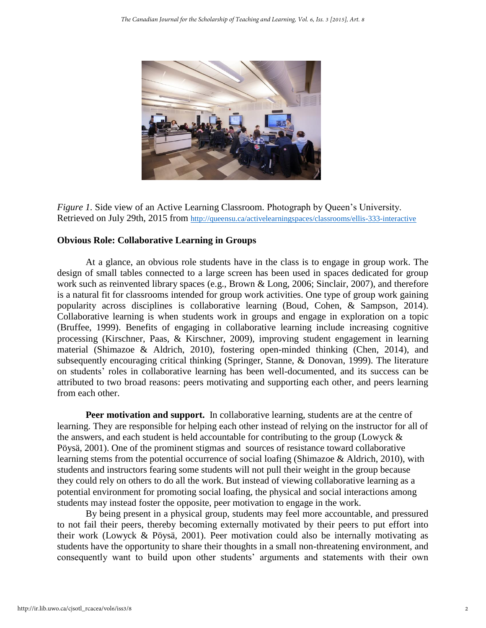

*Figure 1.* Side view of an Active Learning Classroom. Photograph by Queen's University. Retrieved on July 29th, 2015 from <http://queensu.ca/activelearningspaces/classrooms/ellis-333-interactive>

## **Obvious Role: Collaborative Learning in Groups**

At a glance, an obvious role students have in the class is to engage in group work. The design of small tables connected to a large screen has been used in spaces dedicated for group work such as reinvented library spaces (e.g., Brown & Long, 2006; Sinclair, 2007), and therefore is a natural fit for classrooms intended for group work activities. One type of group work gaining popularity across disciplines is collaborative learning (Boud, Cohen, & Sampson, 2014). Collaborative learning is when students work in groups and engage in exploration on a topic (Bruffee, 1999). Benefits of engaging in collaborative learning include increasing cognitive processing (Kirschner, Paas, & Kirschner, 2009), improving student engagement in learning material (Shimazoe & Aldrich, 2010), fostering open-minded thinking (Chen, 2014), and subsequently encouraging critical thinking (Springer, Stanne, & Donovan, 1999). The literature on students' roles in collaborative learning has been well-documented, and its success can be attributed to two broad reasons: peers motivating and supporting each other, and peers learning from each other.

**Peer motivation and support.** In collaborative learning, students are at the centre of learning. They are responsible for helping each other instead of relying on the instructor for all of the answers, and each student is held accountable for contributing to the group (Lowyck & Pöysä, 2001). One of the prominent stigmas and sources of resistance toward collaborative learning stems from the potential occurrence of social loafing (Shimazoe & Aldrich, 2010), with students and instructors fearing some students will not pull their weight in the group because they could rely on others to do all the work. But instead of viewing collaborative learning as a potential environment for promoting social loafing, the physical and social interactions among students may instead foster the opposite, peer motivation to engage in the work.

By being present in a physical group, students may feel more accountable, and pressured to not fail their peers, thereby becoming externally motivated by their peers to put effort into their work (Lowyck & Pöysä, 2001). Peer motivation could also be internally motivating as students have the opportunity to share their thoughts in a small non-threatening environment, and consequently want to build upon other students' arguments and statements with their own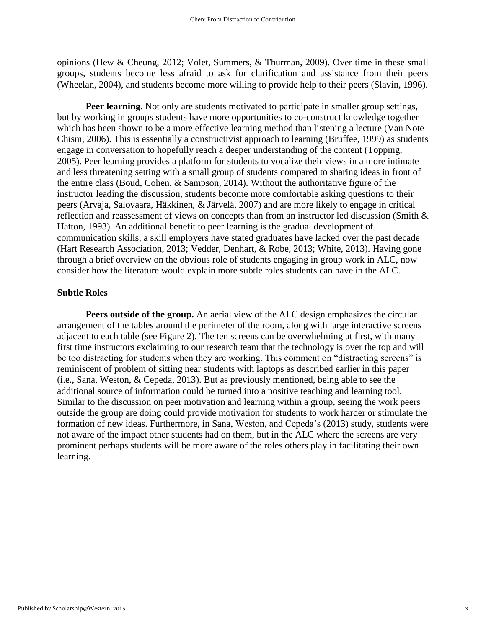opinions (Hew & Cheung, 2012; Volet, Summers, & Thurman, 2009). Over time in these small groups, students become less afraid to ask for clarification and assistance from their peers (Wheelan, 2004), and students become more willing to provide help to their peers (Slavin, 1996).

**Peer learning.** Not only are students motivated to participate in smaller group settings, but by working in groups students have more opportunities to co-construct knowledge together which has been shown to be a more effective learning method than listening a lecture (Van Note Chism, 2006). This is essentially a constructivist approach to learning (Bruffee, 1999) as students engage in conversation to hopefully reach a deeper understanding of the content (Topping, 2005). Peer learning provides a platform for students to vocalize their views in a more intimate and less threatening setting with a small group of students compared to sharing ideas in front of the entire class (Boud, Cohen, & Sampson, 2014). Without the authoritative figure of the instructor leading the discussion, students become more comfortable asking questions to their peers (Arvaja, Salovaara, Häkkinen, & Järvelä, 2007) and are more likely to engage in critical reflection and reassessment of views on concepts than from an instructor led discussion (Smith & Hatton, 1993). An additional benefit to peer learning is the gradual development of communication skills, a skill employers have stated graduates have lacked over the past decade (Hart Research Association, 2013; Vedder, Denhart, & Robe, 2013; White, 2013). Having gone through a brief overview on the obvious role of students engaging in group work in ALC, now consider how the literature would explain more subtle roles students can have in the ALC.

## **Subtle Roles**

**Peers outside of the group.** An aerial view of the ALC design emphasizes the circular arrangement of the tables around the perimeter of the room, along with large interactive screens adjacent to each table (see Figure 2). The ten screens can be overwhelming at first, with many first time instructors exclaiming to our research team that the technology is over the top and will be too distracting for students when they are working. This comment on "distracting screens" is reminiscent of problem of sitting near students with laptops as described earlier in this paper (i.e., Sana, Weston, & Cepeda, 2013). But as previously mentioned, being able to see the additional source of information could be turned into a positive teaching and learning tool. Similar to the discussion on peer motivation and learning within a group, seeing the work peers outside the group are doing could provide motivation for students to work harder or stimulate the formation of new ideas. Furthermore, in Sana, Weston, and Cepeda's (2013) study, students were not aware of the impact other students had on them, but in the ALC where the screens are very prominent perhaps students will be more aware of the roles others play in facilitating their own learning.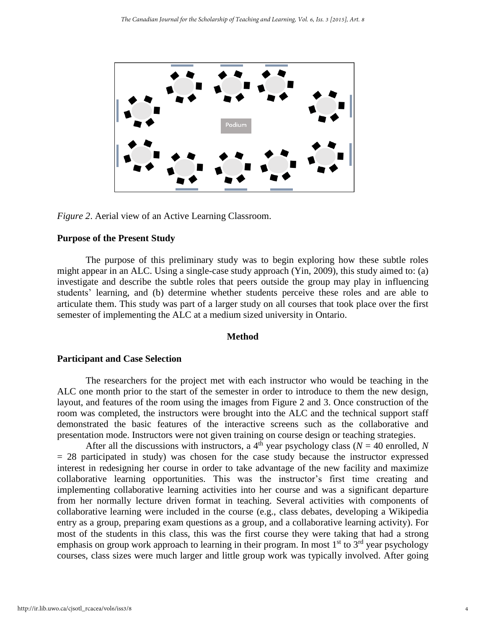

*Figure 2*. Aerial view of an Active Learning Classroom.

#### **Purpose of the Present Study**

The purpose of this preliminary study was to begin exploring how these subtle roles might appear in an ALC. Using a single-case study approach (Yin, 2009), this study aimed to: (a) investigate and describe the subtle roles that peers outside the group may play in influencing students' learning, and (b) determine whether students perceive these roles and are able to articulate them. This study was part of a larger study on all courses that took place over the first semester of implementing the ALC at a medium sized university in Ontario.

## **Method**

## **Participant and Case Selection**

The researchers for the project met with each instructor who would be teaching in the ALC one month prior to the start of the semester in order to introduce to them the new design, layout, and features of the room using the images from Figure 2 and 3. Once construction of the room was completed, the instructors were brought into the ALC and the technical support staff demonstrated the basic features of the interactive screens such as the collaborative and presentation mode. Instructors were not given training on course design or teaching strategies.

After all the discussions with instructors, a 4<sup>th</sup> year psychology class ( $N = 40$  enrolled, N = 28 participated in study) was chosen for the case study because the instructor expressed interest in redesigning her course in order to take advantage of the new facility and maximize collaborative learning opportunities. This was the instructor's first time creating and implementing collaborative learning activities into her course and was a significant departure from her normally lecture driven format in teaching. Several activities with components of collaborative learning were included in the course (e.g., class debates, developing a Wikipedia entry as a group, preparing exam questions as a group, and a collaborative learning activity). For most of the students in this class, this was the first course they were taking that had a strong emphasis on group work approach to learning in their program. In most 1<sup>st</sup> to 3<sup>rd</sup> year psychology courses, class sizes were much larger and little group work was typically involved. After going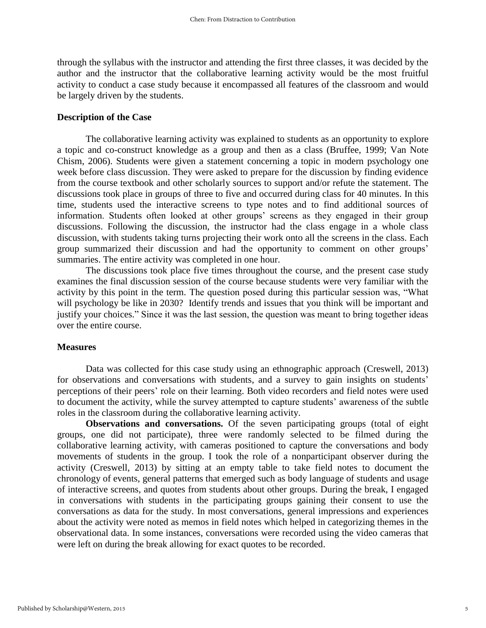through the syllabus with the instructor and attending the first three classes, it was decided by the author and the instructor that the collaborative learning activity would be the most fruitful activity to conduct a case study because it encompassed all features of the classroom and would be largely driven by the students.

## **Description of the Case**

The collaborative learning activity was explained to students as an opportunity to explore a topic and co-construct knowledge as a group and then as a class (Bruffee, 1999; Van Note Chism, 2006). Students were given a statement concerning a topic in modern psychology one week before class discussion. They were asked to prepare for the discussion by finding evidence from the course textbook and other scholarly sources to support and/or refute the statement. The discussions took place in groups of three to five and occurred during class for 40 minutes. In this time, students used the interactive screens to type notes and to find additional sources of information. Students often looked at other groups' screens as they engaged in their group discussions. Following the discussion, the instructor had the class engage in a whole class discussion, with students taking turns projecting their work onto all the screens in the class. Each group summarized their discussion and had the opportunity to comment on other groups' summaries. The entire activity was completed in one hour.

The discussions took place five times throughout the course, and the present case study examines the final discussion session of the course because students were very familiar with the activity by this point in the term. The question posed during this particular session was, "What will psychology be like in 2030? Identify trends and issues that you think will be important and justify your choices." Since it was the last session, the question was meant to bring together ideas over the entire course.

## **Measures**

Data was collected for this case study using an ethnographic approach (Creswell, 2013) for observations and conversations with students, and a survey to gain insights on students' perceptions of their peers' role on their learning. Both video recorders and field notes were used to document the activity, while the survey attempted to capture students' awareness of the subtle roles in the classroom during the collaborative learning activity.

**Observations and conversations.** Of the seven participating groups (total of eight groups, one did not participate), three were randomly selected to be filmed during the collaborative learning activity, with cameras positioned to capture the conversations and body movements of students in the group. I took the role of a nonparticipant observer during the activity (Creswell, 2013) by sitting at an empty table to take field notes to document the chronology of events, general patterns that emerged such as body language of students and usage of interactive screens, and quotes from students about other groups. During the break, I engaged in conversations with students in the participating groups gaining their consent to use the conversations as data for the study. In most conversations, general impressions and experiences about the activity were noted as memos in field notes which helped in categorizing themes in the observational data. In some instances, conversations were recorded using the video cameras that were left on during the break allowing for exact quotes to be recorded.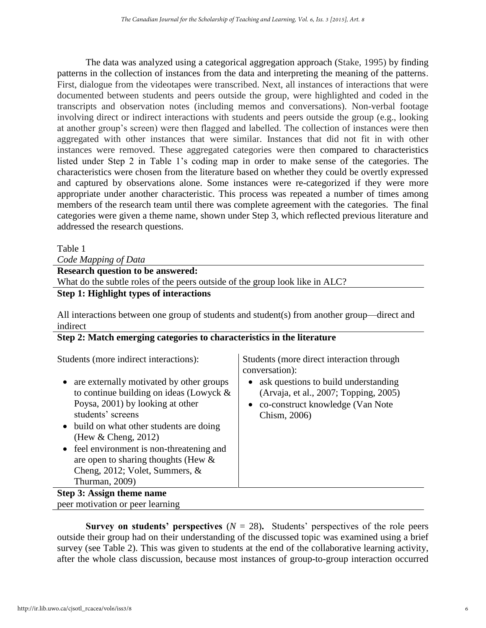The data was analyzed using a categorical aggregation approach (Stake, 1995) by finding patterns in the collection of instances from the data and interpreting the meaning of the patterns. First, dialogue from the videotapes were transcribed. Next, all instances of interactions that were documented between students and peers outside the group, were highlighted and coded in the transcripts and observation notes (including memos and conversations). Non-verbal footage involving direct or indirect interactions with students and peers outside the group (e.g., looking at another group's screen) were then flagged and labelled. The collection of instances were then aggregated with other instances that were similar. Instances that did not fit in with other instances were removed. These aggregated categories were then compared to characteristics listed under Step 2 in Table 1's coding map in order to make sense of the categories. The characteristics were chosen from the literature based on whether they could be overtly expressed and captured by observations alone. Some instances were re-categorized if they were more appropriate under another characteristic. This process was repeated a number of times among members of the research team until there was complete agreement with the categories. The final categories were given a theme name, shown under Step 3, which reflected previous literature and addressed the research questions.

Table 1

*Code Mapping of Data* 

| <b>Research question to be answered:</b> |  |
|------------------------------------------|--|
|------------------------------------------|--|

What do the subtle roles of the peers outside of the group look like in ALC?

## **Step 1: Highlight types of interactions**

All interactions between one group of students and student(s) from another group—direct and indirect

## **Step 2: Match emerging categories to characteristics in the literature**

Students (more indirect interactions): Students (more direct interaction through

- are externally motivated by other groups to continue building on ideas (Lowyck & Poysa, 2001) by looking at other students' screens
- build on what other students are doing (Hew & Cheng, 2012)
- feel environment is non-threatening and are open to sharing thoughts (Hew & Cheng, 2012; Volet, Summers, & Thurman, 2009)

**Step 3: Assign theme name** peer motivation or peer learning conversation):

- ask questions to build understanding (Arvaja, et al., 2007; Topping, 2005)
- co-construct knowledge (Van Note Chism, 2006)

**Survey on students' perspectives**  $(N = 28)$ . Students' perspectives of the role peers outside their group had on their understanding of the discussed topic was examined using a brief survey (see Table 2). This was given to students at the end of the collaborative learning activity, after the whole class discussion, because most instances of group-to-group interaction occurred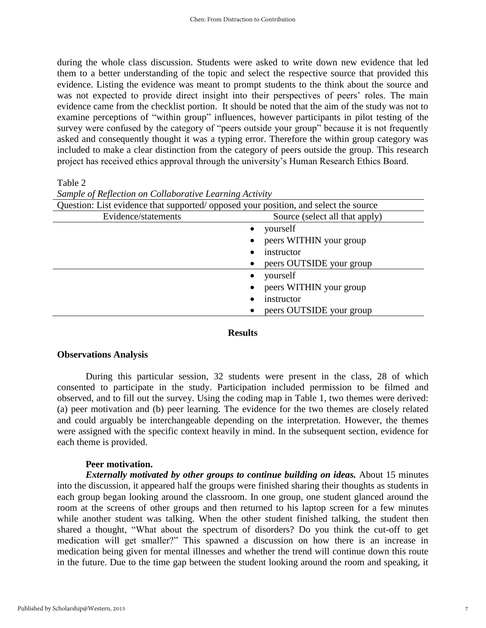during the whole class discussion. Students were asked to write down new evidence that led them to a better understanding of the topic and select the respective source that provided this evidence. Listing the evidence was meant to prompt students to the think about the source and was not expected to provide direct insight into their perspectives of peers' roles. The main evidence came from the checklist portion. It should be noted that the aim of the study was not to examine perceptions of "within group" influences, however participants in pilot testing of the survey were confused by the category of "peers outside your group" because it is not frequently asked and consequently thought it was a typing error. Therefore the within group category was included to make a clear distinction from the category of peers outside the group. This research project has received ethics approval through the university's Human Research Ethics Board.

## Table 2

| Question: List evidence that supported/ opposed your position, and select the source |                                |
|--------------------------------------------------------------------------------------|--------------------------------|
| Evidence/statements                                                                  | Source (select all that apply) |
|                                                                                      | yourself                       |
|                                                                                      | peers WITHIN your group        |
|                                                                                      | instructor                     |
| ٠                                                                                    | peers OUTSIDE your group       |
|                                                                                      | yourself                       |
|                                                                                      | peers WITHIN your group        |
|                                                                                      | instructor                     |
|                                                                                      | peers OUTSIDE your group       |

## *Sample of Reflection on Collaborative Learning Activity*

## **Results**

## **Observations Analysis**

During this particular session, 32 students were present in the class, 28 of which consented to participate in the study. Participation included permission to be filmed and observed, and to fill out the survey. Using the coding map in Table 1, two themes were derived: (a) peer motivation and (b) peer learning. The evidence for the two themes are closely related and could arguably be interchangeable depending on the interpretation. However, the themes were assigned with the specific context heavily in mind. In the subsequent section, evidence for each theme is provided.

## **Peer motivation.**

*Externally motivated by other groups to continue building on ideas. About 15 minutes* into the discussion, it appeared half the groups were finished sharing their thoughts as students in each group began looking around the classroom. In one group, one student glanced around the room at the screens of other groups and then returned to his laptop screen for a few minutes while another student was talking. When the other student finished talking, the student then shared a thought, "What about the spectrum of disorders? Do you think the cut-off to get medication will get smaller?" This spawned a discussion on how there is an increase in medication being given for mental illnesses and whether the trend will continue down this route in the future. Due to the time gap between the student looking around the room and speaking, it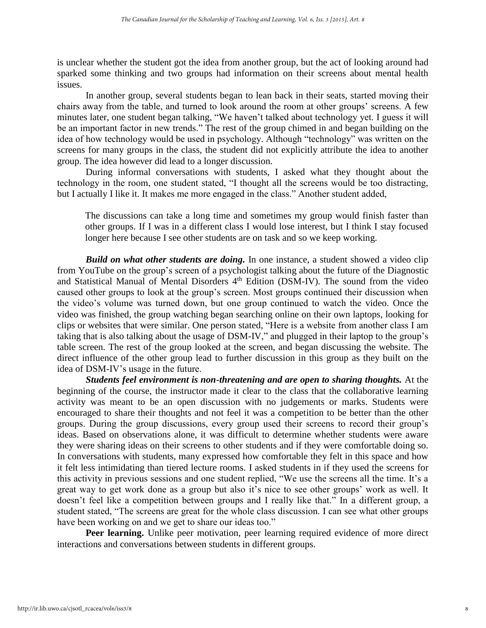is unclear whether the student got the idea from another group, but the act of looking around had sparked some thinking and two groups had information on their screens about mental health issues.

In another group, several students began to lean back in their seats, started moving their chairs away from the table, and turned to look around the room at other groups' screens. A few minutes later, one student began talking, "We haven't talked about technology yet. I guess it will be an important factor in new trends." The rest of the group chimed in and began building on the idea of how technology would be used in psychology. Although "technology" was written on the screens for many groups in the class, the student did not explicitly attribute the idea to another group. The idea however did lead to a longer discussion.

During informal conversations with students, I asked what they thought about the technology in the room, one student stated, "I thought all the screens would be too distracting, but I actually I like it. It makes me more engaged in the class." Another student added,

The discussions can take a long time and sometimes my group would finish faster than other groups. If I was in a different class I would lose interest, but I think I stay focused longer here because I see other students are on task and so we keep working.

*Build on what other students are doing.* In one instance, a student showed a video clip from YouTube on the group's screen of a psychologist talking about the future of the Diagnostic and Statistical Manual of Mental Disorders 4<sup>th</sup> Edition (DSM-IV). The sound from the video caused other groups to look at the group's screen. Most groups continued their discussion when the video's volume was turned down, but one group continued to watch the video. Once the video was finished, the group watching began searching online on their own laptops, looking for clips or websites that were similar. One person stated, "Here is a website from another class I am taking that is also talking about the usage of DSM-IV," and plugged in their laptop to the group's table screen. The rest of the group looked at the screen, and began discussing the website. The direct influence of the other group lead to further discussion in this group as they built on the idea of DSM-IV's usage in the future.

*Students feel environment is non-threatening and are open to sharing thoughts.* At the beginning of the course, the instructor made it clear to the class that the collaborative learning activity was meant to be an open discussion with no judgements or marks. Students were encouraged to share their thoughts and not feel it was a competition to be better than the other groups. During the group discussions, every group used their screens to record their group's ideas. Based on observations alone, it was difficult to determine whether students were aware they were sharing ideas on their screens to other students and if they were comfortable doing so. In conversations with students, many expressed how comfortable they felt in this space and how it felt less intimidating than tiered lecture rooms. I asked students in if they used the screens for this activity in previous sessions and one student replied, "We use the screens all the time. It's a great way to get work done as a group but also it's nice to see other groups' work as well. It doesn't feel like a competition between groups and I really like that." In a different group, a student stated, "The screens are great for the whole class discussion. I can see what other groups have been working on and we get to share our ideas too."

Peer learning. Unlike peer motivation, peer learning required evidence of more direct interactions and conversations between students in different groups.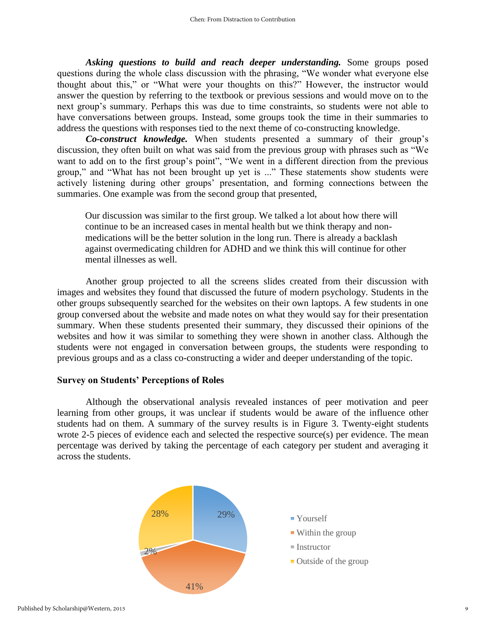*Asking questions to build and reach deeper understanding.* Some groups posed questions during the whole class discussion with the phrasing, "We wonder what everyone else thought about this," or "What were your thoughts on this?" However, the instructor would answer the question by referring to the textbook or previous sessions and would move on to the next group's summary. Perhaps this was due to time constraints, so students were not able to have conversations between groups. Instead, some groups took the time in their summaries to address the questions with responses tied to the next theme of co-constructing knowledge.

*Co-construct knowledge.* When students presented a summary of their group's discussion, they often built on what was said from the previous group with phrases such as "We want to add on to the first group's point", "We went in a different direction from the previous group," and "What has not been brought up yet is ..." These statements show students were actively listening during other groups' presentation, and forming connections between the summaries. One example was from the second group that presented,

Our discussion was similar to the first group. We talked a lot about how there will continue to be an increased cases in mental health but we think therapy and nonmedications will be the better solution in the long run. There is already a backlash against overmedicating children for ADHD and we think this will continue for other mental illnesses as well.

Another group projected to all the screens slides created from their discussion with images and websites they found that discussed the future of modern psychology. Students in the other groups subsequently searched for the websites on their own laptops. A few students in one group conversed about the website and made notes on what they would say for their presentation summary. When these students presented their summary, they discussed their opinions of the websites and how it was similar to something they were shown in another class. Although the students were not engaged in conversation between groups, the students were responding to previous groups and as a class co-constructing a wider and deeper understanding of the topic.

## **Survey on Students' Perceptions of Roles**

Although the observational analysis revealed instances of peer motivation and peer learning from other groups, it was unclear if students would be aware of the influence other students had on them. A summary of the survey results is in Figure 3. Twenty-eight students wrote 2-5 pieces of evidence each and selected the respective source(s) per evidence. The mean percentage was derived by taking the percentage of each category per student and averaging it across the students.

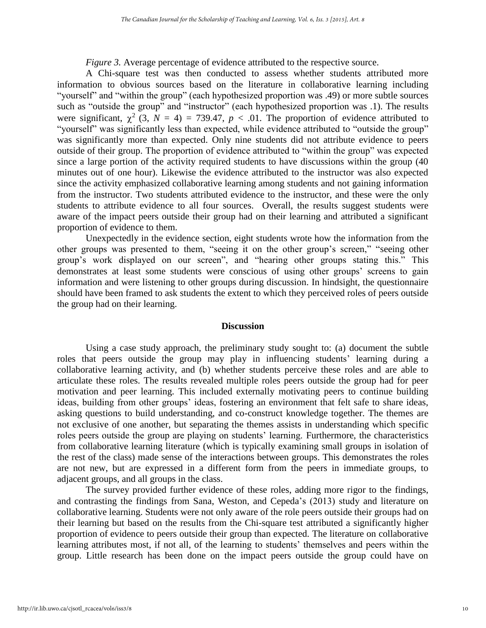*Figure 3.* Average percentage of evidence attributed to the respective source.

A Chi-square test was then conducted to assess whether students attributed more information to obvious sources based on the literature in collaborative learning including "yourself" and "within the group" (each hypothesized proportion was .49) or more subtle sources such as "outside the group" and "instructor" (each hypothesized proportion was .1). The results were significant,  $\chi^2$  (3, *N* = 4) = 739.47, *p* < .01. The proportion of evidence attributed to "yourself" was significantly less than expected, while evidence attributed to "outside the group" was significantly more than expected. Only nine students did not attribute evidence to peers outside of their group. The proportion of evidence attributed to "within the group" was expected since a large portion of the activity required students to have discussions within the group (40 minutes out of one hour). Likewise the evidence attributed to the instructor was also expected since the activity emphasized collaborative learning among students and not gaining information from the instructor. Two students attributed evidence to the instructor, and these were the only students to attribute evidence to all four sources. Overall, the results suggest students were aware of the impact peers outside their group had on their learning and attributed a significant proportion of evidence to them.

Unexpectedly in the evidence section, eight students wrote how the information from the other groups was presented to them, "seeing it on the other group's screen," "seeing other group's work displayed on our screen", and "hearing other groups stating this." This demonstrates at least some students were conscious of using other groups' screens to gain information and were listening to other groups during discussion. In hindsight, the questionnaire should have been framed to ask students the extent to which they perceived roles of peers outside the group had on their learning.

## **Discussion**

Using a case study approach, the preliminary study sought to: (a) document the subtle roles that peers outside the group may play in influencing students' learning during a collaborative learning activity, and (b) whether students perceive these roles and are able to articulate these roles. The results revealed multiple roles peers outside the group had for peer motivation and peer learning. This included externally motivating peers to continue building ideas, building from other groups' ideas, fostering an environment that felt safe to share ideas, asking questions to build understanding, and co-construct knowledge together. The themes are not exclusive of one another, but separating the themes assists in understanding which specific roles peers outside the group are playing on students' learning. Furthermore, the characteristics from collaborative learning literature (which is typically examining small groups in isolation of the rest of the class) made sense of the interactions between groups. This demonstrates the roles are not new, but are expressed in a different form from the peers in immediate groups, to adjacent groups, and all groups in the class.

The survey provided further evidence of these roles, adding more rigor to the findings, and contrasting the findings from Sana, Weston, and Cepeda's (2013) study and literature on collaborative learning. Students were not only aware of the role peers outside their groups had on their learning but based on the results from the Chi-square test attributed a significantly higher proportion of evidence to peers outside their group than expected. The literature on collaborative learning attributes most, if not all, of the learning to students' themselves and peers within the group. Little research has been done on the impact peers outside the group could have on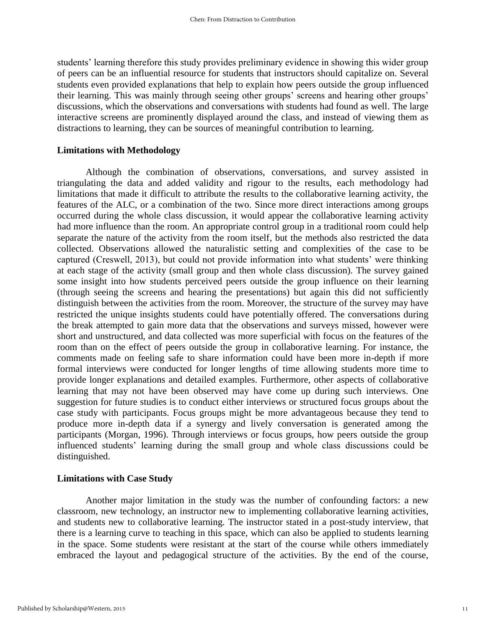students' learning therefore this study provides preliminary evidence in showing this wider group of peers can be an influential resource for students that instructors should capitalize on. Several students even provided explanations that help to explain how peers outside the group influenced their learning. This was mainly through seeing other groups' screens and hearing other groups' discussions, which the observations and conversations with students had found as well. The large interactive screens are prominently displayed around the class, and instead of viewing them as distractions to learning, they can be sources of meaningful contribution to learning.

## **Limitations with Methodology**

Although the combination of observations, conversations, and survey assisted in triangulating the data and added validity and rigour to the results, each methodology had limitations that made it difficult to attribute the results to the collaborative learning activity, the features of the ALC, or a combination of the two. Since more direct interactions among groups occurred during the whole class discussion, it would appear the collaborative learning activity had more influence than the room. An appropriate control group in a traditional room could help separate the nature of the activity from the room itself, but the methods also restricted the data collected. Observations allowed the naturalistic setting and complexities of the case to be captured (Creswell, 2013), but could not provide information into what students' were thinking at each stage of the activity (small group and then whole class discussion). The survey gained some insight into how students perceived peers outside the group influence on their learning (through seeing the screens and hearing the presentations) but again this did not sufficiently distinguish between the activities from the room. Moreover, the structure of the survey may have restricted the unique insights students could have potentially offered. The conversations during the break attempted to gain more data that the observations and surveys missed, however were short and unstructured, and data collected was more superficial with focus on the features of the room than on the effect of peers outside the group in collaborative learning. For instance, the comments made on feeling safe to share information could have been more in-depth if more formal interviews were conducted for longer lengths of time allowing students more time to provide longer explanations and detailed examples. Furthermore, other aspects of collaborative learning that may not have been observed may have come up during such interviews. One suggestion for future studies is to conduct either interviews or structured focus groups about the case study with participants. Focus groups might be more advantageous because they tend to produce more in-depth data if a synergy and lively conversation is generated among the participants (Morgan, 1996). Through interviews or focus groups, how peers outside the group influenced students' learning during the small group and whole class discussions could be distinguished.

## **Limitations with Case Study**

Another major limitation in the study was the number of confounding factors: a new classroom, new technology, an instructor new to implementing collaborative learning activities, and students new to collaborative learning. The instructor stated in a post-study interview, that there is a learning curve to teaching in this space, which can also be applied to students learning in the space. Some students were resistant at the start of the course while others immediately embraced the layout and pedagogical structure of the activities. By the end of the course,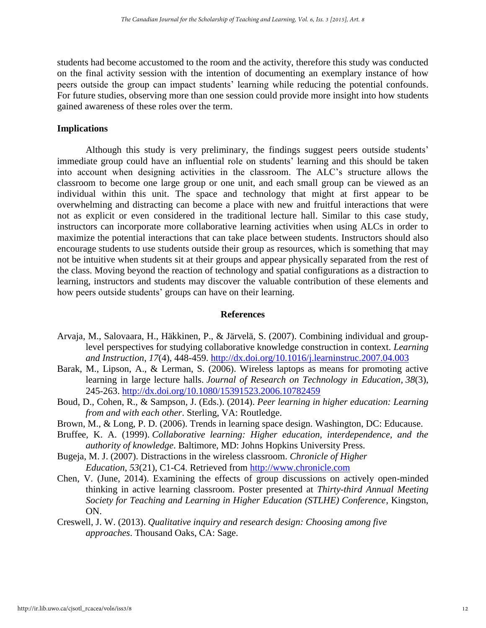students had become accustomed to the room and the activity, therefore this study was conducted on the final activity session with the intention of documenting an exemplary instance of how peers outside the group can impact students' learning while reducing the potential confounds. For future studies, observing more than one session could provide more insight into how students gained awareness of these roles over the term.

## **Implications**

Although this study is very preliminary, the findings suggest peers outside students' immediate group could have an influential role on students' learning and this should be taken into account when designing activities in the classroom. The ALC's structure allows the classroom to become one large group or one unit, and each small group can be viewed as an individual within this unit. The space and technology that might at first appear to be overwhelming and distracting can become a place with new and fruitful interactions that were not as explicit or even considered in the traditional lecture hall. Similar to this case study, instructors can incorporate more collaborative learning activities when using ALCs in order to maximize the potential interactions that can take place between students. Instructors should also encourage students to use students outside their group as resources, which is something that may not be intuitive when students sit at their groups and appear physically separated from the rest of the class. Moving beyond the reaction of technology and spatial configurations as a distraction to learning, instructors and students may discover the valuable contribution of these elements and how peers outside students' groups can have on their learning.

## **References**

- Arvaja, M., Salovaara, H., Häkkinen, P., & Järvelä, S. (2007). Combining individual and grouplevel perspectives for studying collaborative knowledge construction in context. *Learning and Instruction*, *17*(4), 448-459.<http://dx.doi.org/10.1016/j.learninstruc.2007.04.003>
- Barak, M., Lipson, A., & Lerman, S. (2006). Wireless laptops as means for promoting active learning in large lecture halls. *Journal of Research on Technology in Education*, *38*(3), 245-263. <http://dx.doi.org/10.1080/15391523.2006.10782459>
- Boud, D., Cohen, R., & Sampson, J. (Eds.). (2014). *Peer learning in higher education: Learning from and with each other*. Sterling, VA: Routledge.
- Brown, M., & Long, P. D. (2006). Trends in learning space design. Washington, DC: Educause.
- Bruffee, K. A. (1999). *Collaborative learning: Higher education, interdependence, and the authority of knowledge*. Baltimore, MD: Johns Hopkins University Press.
- Bugeja, M. J. (2007). Distractions in the wireless classroom. *Chronicle of Higher Education*, *53*(21), C1-C4. Retrieved from [http://www.chronicle.com](http://www.chronicle.com/)
- Chen, V. (June, 2014). Examining the effects of group discussions on actively open-minded thinking in active learning classroom. Poster presented at *Thirty-third Annual Meeting Society for Teaching and Learning in Higher Education (STLHE) Conference*, Kingston, ON.
- Creswell, J. W. (2013). *Qualitative inquiry and research design: Choosing among five approaches*. Thousand Oaks, CA: Sage.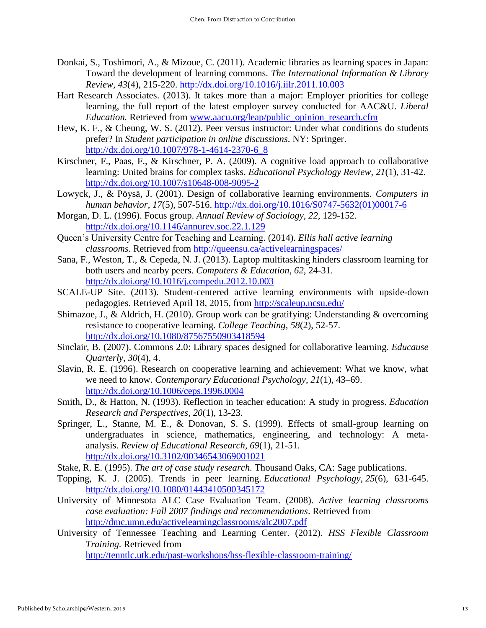- Donkai, S., Toshimori, A., & Mizoue, C. (2011). Academic libraries as learning spaces in Japan: Toward the development of learning commons. *The International Information & Library Review, 43*(4), 215-220.<http://dx.doi.org/10.1016/j.iilr.2011.10.003>
- Hart Research Associates. (2013). It takes more than a major: Employer priorities for college learning, the full report of the latest employer survey conducted for AAC&U. *Liberal Education.* Retrieved from [www.aacu.org/leap/public\\_opinion\\_research.cfm](http://www.aacu.org/leap/public_opinion_research.cfm)
- Hew, K. F., & Cheung, W. S. (2012). Peer versus instructor: Under what conditions do students prefer? In *Student participation in online discussions*. NY: Springer. [http://dx.doi.org/10.1007/978-1-4614-2370-6\\_8](http://dx.doi.org/10.1007/978-1-4614-2370-6_8)
- Kirschner, F., Paas, F., & Kirschner, P. A. (2009). A cognitive load approach to collaborative learning: United brains for complex tasks. *Educational Psychology Review*, *21*(1), 31-42. <http://dx.doi.org/10.1007/s10648-008-9095-2>
- Lowyck, J., & Pöysä, J. (2001). Design of collaborative learning environments. *Computers in human behavior*, *17*(5), 507-516. [http://dx.doi.org/10.1016/S0747-5632\(01\)00017-6](http://dx.doi.org/10.1016/S0747-5632(01)00017-6)
- Morgan, D. L. (1996). Focus group. *Annual Review of Sociology, 22,* 129-152. <http://dx.doi.org/10.1146/annurev.soc.22.1.129>
- Queen's University Centre for Teaching and Learning. (2014). *Ellis hall active learning classrooms*. Retrieved from<http://queensu.ca/activelearningspaces/>
- Sana, F., Weston, T., & Cepeda, N. J. (2013). Laptop multitasking hinders classroom learning for both users and nearby peers. *Computers & Education*, *62*, 24-31. <http://dx.doi.org/10.1016/j.compedu.2012.10.003>
- SCALE-UP Site. (2013). Student-centered active learning environments with upside-down pedagogies. Retrieved April 18, 2015, from<http://scaleup.ncsu.edu/>
- Shimazoe, J., & Aldrich, H. (2010). Group work can be gratifying: Understanding & overcoming resistance to cooperative learning. *College Teaching*, *58*(2), 52-57. <http://dx.doi.org/10.1080/87567550903418594>
- Sinclair, B. (2007). Commons 2.0: Library spaces designed for collaborative learning. *Educause Quarterly*, *30*(4), 4.
- Slavin, R. E. (1996). Research on cooperative learning and achievement: What we know, what we need to know. *Contemporary Educational Psychology*, *21*(1), 43–69. <http://dx.doi.org/10.1006/ceps.1996.0004>
- Smith, D., & Hatton, N. (1993). Reflection in teacher education: A study in progress. *Education Research and Perspectives*, *20*(1), 13-23.
- Springer, L., Stanne, M. E., & Donovan, S. S. (1999). Effects of small-group learning on undergraduates in science, mathematics, engineering, and technology: A metaanalysis. *Review of Educational Research*, *69*(1), 21-51. <http://dx.doi.org/10.3102/00346543069001021>
- Stake, R. E. (1995). *The art of case study research.* Thousand Oaks, CA: Sage publications.
- Topping, K. J. (2005). Trends in peer learning. *Educational Psychology*, *25*(6), 631-645. <http://dx.doi.org/10.1080/01443410500345172>
- University of Minnesota ALC Case Evaluation Team. (2008). *Active learning classrooms case evaluation: Fall 2007 findings and recommendations*. Retrieved from <http://dmc.umn.edu/activelearningclassrooms/alc2007.pdf>
- University of Tennessee Teaching and Learning Center. (2012). *HSS Flexible Classroom Training.* Retrieved from

<http://tenntlc.utk.edu/past-workshops/hss-flexible-classroom-training/>